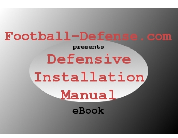# Football-Defense.com

### presents

# Defensive Installation <u>Manual</u> eBook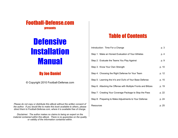

# **Defensive Installation** Manual

### By Joe Daniel

© Copyright 2010 Football-Defense.com

*Please do not copy or distribute this eBook without the written consent of the author. If you would like to make this book available to others, please direct them to Football-Defense.com, where it is available free of charge.*

*Disclaimer: The author makes no claims to being an expert on the material contained within this eBook. There is no guarantee on the quality or validity of the information contained within.*

# Table of Contents

| Introduction: Time For a Change                                |       |  |  |  |
|----------------------------------------------------------------|-------|--|--|--|
| Step 1: Make an Honest Evaluation of Your Athletes             | p. 4  |  |  |  |
| Step 2: Evaluate the Teams You Play Against                    | p. 9  |  |  |  |
| Step 3: Know Your Own Strength                                 | p. 10 |  |  |  |
| Step 4: Choosing the Right Defense for Your Team               | p. 12 |  |  |  |
| Step 5: Learning the In's and Out's of Your Base Defense       | p. 15 |  |  |  |
| Step 6: Attacking the Offense with Multiple Fronts and Blitzes | p. 19 |  |  |  |
| Step 7: Creating Your Coverage Package to Stop the Pass        | p. 22 |  |  |  |
| Step 8: Preparing to Make Adjustments to Your Defense          | p. 24 |  |  |  |
| Resources                                                      | p. 25 |  |  |  |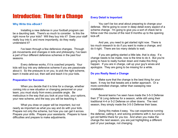# Introduction: Time for a Change

#### **Why Write this eBook?**

Installing a new defense in your football program can be a daunting task. There's so much to consider. Is this the right move for your kids? Will they buy into it? Does your staff really buy into it, and more importantly, do they really understand it?

I've been through a few defensive changes. Through job movements and changes in kids and philosophy, I've been a part of four different defensive schemes in the past four seasons.

Every defense works, if it is coached properly. Your kids will buy into any defensive scheme if you are passionate about it. So the pressure is on you, to pick the right scheme, learn it inside and out, then sell and teach it to your kids.

#### **Preparation for Success**

When you decide that it is time for a change, whether coming into a new situation or changing personnel on your team, you must study from every possible angle. Be meticulous in the way that you look at your kids, your options, your new scheme, and the way you will be teaching it.

What you draw on paper will be important, but not nearly as important as what you say and do with your kids. Prepare not only the scheme, but how you can get it across. Prepare your drills. Prepare your assistants. Prepare to have difficulties and prepare to make adjustments.

#### **Every Detail is Important**

You can't be too anal about preparing to change your defense. We're going to cover in deep detail every aspect of a scheme change. I'm going to give you a sort of check list to follow over the course of the next 9 months up to the opening kick-off.

And yes, you need to get started right now. There is too much research to do if you want to make a change, and do it right. There are too many details to wait.

If you are getting started a little late, that is okay. If a change needs to be made, now is the time to do it. But you're going to have to really hunker down and make this thing happen. If you are in charge, call up your guy's wives and apologize. They are going to be missing for a while.

#### **Do you Really Need a Change**

Make sure that the change is the best thing for your team. It may be that tweaks are a better approach. Or a more controlled change, rather than sweeping new installation.

Several teams I've seen have made the 3-5-3 Defense their  $3<sup>rd</sup>$  & Long defense for a season, while still using their traditional 4-4 or 5-2 Defense on other downs. The next season, they simply made the 3-5-3 Defense their base.

Doing this makes it easy. You can experience running the defense, calling it, and solving problems with it, but you've got old faithful there for you too. And when you make the change the next season, you are just highlighting a different part of your package, not changing.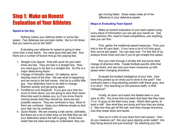# Step 1: Make an Honest Evaluation of Your Athletes

#### **Speed is the Key**

Nothing makes your defense better or worse like speed. Fast defenses are just plain better. But is it 40 times that you need to put on the field?

Evaluating your defense for speed is going to take more than a stop watch. You need guys that play fast. And there are a number of factors that go into playing fast.

- 1. *Straight Line Speed*: Kids with quick 40 yard dash times are fast. They are fast in a straight line. Now, you need guys to be fast in a straight line. So this is a major determining factor.
- 2. *Change of Direction Speed*: On defense, we're reacting most of the time. We see what is happening and we move to the ball carrier. And he is a shifty little guy. Your defenders have to be able to change direction quickly and get going again.
- 3. *Confidence and Simplicity*: If you give your kids too much to think about, you are going to slow them down. Most kids want to please you, so if you know they're moving slower than they should be, there are two possible reasons. They are confused or lazy. Most of them are confused. Keep your defense simple so that your kids can be confident.
- 4. *Quick Reads*: We are chasing a ball carrier, ultimately. But there are a lot of other keys on the field that can tell your defenders where the ball is going. If kids have reads that are clear and easy to understand, they can

get moving faster. Great reads make all of the difference in your defensive speed.

#### **Steps to Evaluating Team Speed**

Make an honest evaluation of your team speed using every piece of information you can get your hands on. Use stop watches, film, head to head competitions, and anything else you can find.

First, gather the traditional speed measures. Time your kids in the 40 yard dash. If you have a lot of 4.6 forty guys, then you've got speed. You can stop now. For the rest of us, analyze those times and see if you've got straight line speed.

Run your kids through a shuttle drill and some other change of direction drills. Create football-specific drills that can be timed, and see how your team measures up with speed when changing directions.

Evaluate the football intelligence of your kids. How have they picked up on what you've done in the past? Has confusion been a long-standing problem with these guys, and if so why? Your teaching (or the previous staff), or their intelligence?

Finally, sit down and watch the fastest team in your area on film. You know that one team that feels like they have 13 or 14 guys on the field every snap. Watch their game, at least a half. See what they are doing and how they are doing it. See how they get off the ball, how they change directions, how they break down and tackle.

Now put in a film of your team from last season. How do you measure up? Are your guys playing under water? Are they flying around and just missing? By watching your film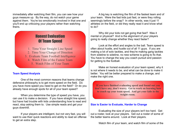immediately after watching their film, you can see how your guys measure up. By the way, do not watch your game against them. You're too emotionally involved in that one and you'll end up criticizing your players rather than watching theirs.

### Honest Evaluation Of Team Speed

- 1. Time Your Straight Line Speed
- 2. Time Your Change of Direction
- 3. Evaluate Team Football Intelligence
	- 4. Watch Film of the Fastest Team
		- 5. Watch Film of Your Team

#### **Team Speed Analysis**

One of the most common reasons that teams change defensive philosophy is to get more speed on the field. Do you have more speed you need to get on the field? Or do you already have enough spots for all of your team speed?

When you determine the type of speed you have, you can use it to make a decision. If you have straight line speed, but have had trouble with kids understanding how to read and react, stop asking them to. Use simple reads and get your guys downhill.

If your players are intelligent, but not very fast, you will want to use their quick reactions and ability to read an offense to get an extra step.

A big key is watching the film of the fastest team and of your team. Were the fast kids just fast, or were they rolling seemingly before the snap? In other words, was it just 11 athletes on the field, or did they really read it and know what to do?

Why did your kids not get going that fast? Was it mental or physical? And is the alignment of your players going to really change whether they react faster?

Look at the effort and angles to the ball. Team speed is often about hustle, and hustle out of all 11 guys. If you are making a lot of solo tackles, and they're making gang tackles from sideline to sideline, no new scheme is going to fix that. You have to change the way you coach pursuit and passion for getting to the football.

Make an honest evaluation of your team speed, why it is not where it needs to be, and what can be done to make it better. You will be better prepared to make a change, and make the right one.

**If you have finished evaluating speed and found out you don't have any, don't worry. Get to work on learning how to coach up your team speed. And get your kids in the weight room.** 

#### **Size is Easier to Evaluate, Harder to Change**

Evaluating the size of your players isn't too hard. Get out a roster, look at your players. Get out a roster of some of the better teams around. Look at their players.

Watch film of your team, and watch film of some of the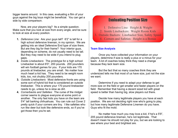bigger teams around. In this case, evaluating a film of your guys against the big boys might be beneficial. You can get a side by side comparison.

Now, are your players big? Its a simple question. Make sure that you look at size from every angle, and be sure to look at size at every position.

- **1.** *Defensive Line*: Are your guys tall? 6'2" is tall for a high school defensive lineman, in my opinion. We are getting into an ideal Defensive End type of size there. But are they big for their frame? Your interior guys, depending on scheme, do not usually need to be tall. But they may need to be wide if you intend to plug gaps.
- **2.** *Inside Linebackers*: The prototype for a high school Linebacker is about 6'0", 200 pounds. 200 pounders will win football games for you. If your kids are 170 pounds at linebacker, you are small. No matter how much heart a kid has. They need to be weight room kids, too, not chubby 200 pounders.
- **3.** *Outside Linebackers*: Most defensive fronts are using some sort of hybrid kid that is considered an outside linebacker. This is where your 170 pound linebacker needs to go, unless he is slow as dirt.
- **4.** *Cornerbacks and Safeties*: The curse of the midget corner seems to plague everyone at some point or another. The only fast kids you have on the team are 5'4" tall barking chihuahuas. You can rule out Cover 2 pretty quick if your corners are tiny. I like safeties who run like deer but look like defensive ends, so if you've got those then you're set.

### Evaluating Position Size

1. Defensive Line: Height & Weight 2. Inside Linebackers: Weight Room Kids 3. Outside Backers: Linebacker Size, Safety Speed 4. Corners and Safeties: Height is a Bonus

#### **Team Size Analysis**

Once you have collected your information on your players, determine if size is really a plus or a minus for your team. A lot of coaches today think they need a change because they lack team size.

But the fact that so many coaches think they are undersized tells me that most of us have size, just not the size we want.

Determine if you need to adapt your defense to get more size on the field or get smaller and faster players on the field. Remember that having a decent sized kid with great speed is better than having big, slow players out there.

Decide how many legitimate players you have at each position. We are not deciding right now who's going to play, but how many legitimate Defensive Linemen do you have. Guys who fit the mold.

No matter how much you may love a kid, if he's a 5'9", 205 pound defensive lineman, he's not legitimate. That doesn't mean he should not play for you, but we are looking to see where your best and brightest are.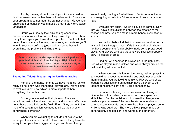And by the way, do not commit your kids to a position. Just because someone has been a Linebacker for 2 years in your program does not mean he cannot change. Maybe your undersized Linebacker would make a great Safety or Outside Linebacker.

Group your kids by their size, taking speed into consideration, rather than where they have played. See how many true players you have at each position. Use this to help determine how many linemen, linebackers, and safeties you'll want in your new defense (you need two cornerbacks in everything, the problem is finding them).

**Be sure to adapt the size expectations at each position to your level of football. I am looking at High School sizes because that's what I know. I don't know how big an 11 year old linebacker is, or should be.**

#### **Evaluating Talent: Measuring the Un-Measurables**

For all of the measurements we have made so far, we really do not know who the football players are. We're going to evaluate talent now, which is more important than everything else to this point.

Some guys are just football players. They are tenacious, instinctive, driven, leaders, and winners. We have got to have those kids on the field. Even if they do not fit the mold of a certain position, we need to utilize their talents somewhere, somehow.

When you are evaluating talent, do not evaluate the talent you think you can create. If you are not trying to make every kid on your team bigger, stronger, and faster, then you

are not really running a football team. So forget about what you are going to do in the future for now. Look at what you have.

Evaluate film again. Watch a couple of games. Now that you have a little distance between the emotion of the season and now, you can make a more honest evaluation of your kids.

You will probably find that it is never as good, or as bad, as you initially thought it was. Kids that you thought should not have been on the field probably made some pretty good plays. And players who you thought were flawless probably blew it a couple of times.

Find out who seemed to always be in the right spot. See which players made tackles and were always around the ball, sprinting all over the field.

When you see kids forcing turnovers, making plays that you would not expect them to make and could never coach them to make, you are looking at talent. Players who show leadership qualities and enthusiasm have a benefit to the team that height, weight and 40 time cannot show.

I remember having a discussion over replacing one Linebacker with another player who had more speed and athleticism. But the decision not to make the change was made simply because of the way the starter was able to communicate, motivate, and make the other ten players better while he was out there. The more athletic player made us better at only one position, and worse at the other ten.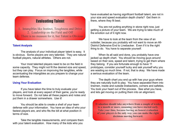### Evaluating Talent

1. Intangibles like Instinct, Toughness and Drive 2. Leadership on the Field and Off There is no measure for it, but Talent is Obvious

#### **Talent Analysis**

The analysis of your individual player talent is easy. It is obvious. Some players are very talented. They are natural football players, natural athletes. Others are not.

Your most talented players need to be on the field in some capacity. They might not fit the desired size and speed, but they can play. Focus on improving the tangibles, while accentuating the intangibles as you prepare to change your team defense.

#### **Using Your Evaluation**

If you have taken the time to truly evaluate your players, and look at every aspect of their game, you're ready to move forward. Do not take all these papers and notes and put them in a drawer somewhere. Use it!

You should be able to create a shell of your team defense with your information. You have an idea of who your fastest players are, and who fits the bill at what position in terms of size.

Take the tangible measurements, and compare them with your talent evaluation. How many of the kids who you

have evaluated as having significant football talent, are not in your size and speed evaluation depth charts? Get them in there, where they fit best.

You are not putting anything in stone right now, just getting a picture of your team. We are trying to take much of the emotion out of it right now.

We have to look at the team from the view of an outsider, because you probably will not want to move an All-District Defensive End to Linebacker. Even if it is the right thing to do. You have to separate yourself.

When its all said and done, you probably have one jacked up depth chart. You should be moving guys around based on their size, speed and talent, trying to get them where they belong. If you are fortunate enough to have 11 prototypes, consider yourself lucky and ask yourself why you are wasting so much time. If not, that is okay. We have made a serious evaluation of the team.

The depth chart you end up with has your guys where they are naturally built to play. You have separated them into linemen, inside and outside linebackers, corners and safeties. You took your heart out of the process. See what you have, and lets get moving on putting them into an alignment.

**Evaluation should take anywhere from a couple of weeks to a month or more, assuming you have started early. Take your time, because having an honest evaluation of your players is the only way you can make the right decisions moving forward.**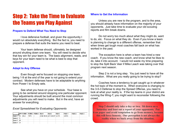# Step 2: Take the Time to Evaluate the Teams you Play Against

#### **Prepare to Defend What You Need to Stop**

I love defensive football, and given the opportunity I would run absolutely everything. But the fact is, you need to prepare a defense that suits the teams you need to beat.

Your team defense should, ultimately, be designed around shutting down one team. You will need to decide who that key win for your team is. The basic alignment, reads, and keys for your team need to be what is best to stop that opponent.

#### **Adapt to Any Offense**

Even though we're focused on stopping one team, being 1-9 at the end of the year is not going to extend your contract. Modern defenses have to be adaptable to anything from Power I to Empty sets.

See what you have on your schedule. Your base is going to be centered around stopping one particular opponent. Your adjustments should be built around the most common adjustments you will need to make. But in the end, have an answer for everything.

#### *Excel Spreadsheet for Evaluating Opponents*

|           |           |             |      | OPP FORM 1 FORM 2 FORM 3 RUN 1 |                            | <b>RUN 2</b> | <b>RUN3</b> | PASS <sub>1</sub> | <b>PASS 2</b> | PASS <sub>3</sub> |
|-----------|-----------|-------------|------|--------------------------------|----------------------------|--------------|-------------|-------------------|---------------|-------------------|
| Game 1    | CН        | <b>DBLS</b> | TRPS |                                | ZONE READ JET SWEEP IQ CTR |              |             | <b>VERTS</b>      |               |                   |
| Game 2 TJ |           |             |      |                                |                            |              |             |                   |               |                   |
| Game 3 JM |           |             |      |                                |                            |              |             |                   |               |                   |
| Game 4    | <b>CH</b> |             |      |                                |                            |              |             |                   |               |                   |

#### **Where to Get the Information**

Unless you are new to the program, and to the area, you should already have information on the majority of your opponents. Just take time to evaluate your old scouting reports and film break downs.

Do not worry too much about what they might do, want to do, etc. Focus on what they do. Even if you know a team is planning to change to a different offense, remember that when times get tough most coaches fall back on what has worked in the past.

The exception here is when a team has hired a new coach. If you know the new coach, and know what he likes to do, take it into account. I would not waste my time preparing to stop the Split Back Veer if Mike Leach was taking over that program next season.

Step 2 is not a long step. You just need to have all the information. What are you really going to be trying to stop?

Coaches have a tendency to get caught up in whatever the hot topic of the moment is. When everyone is changing to the 3-5-3 Defense to stop the Spread Offense, you need to look at what your reality is. If the top teams in your district are running the Wing-T, you might want to reconsider following the crowd.

**Step 2 should only take a day or two. Sit down on a Saturday and bust out a report of your opponents. Put it on paper and avoid temptation to go from memory, because this will force honesty. Our perception is not always the reality when we back away from the situation.**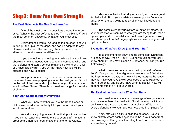# Step 3: Know Your Own Strength

#### **The Best Defense is the One You Know Best**

One of the most common questions around the forums asks, "What is the best defense to stop [fill in the blank]?" And the most common answer is, whatever you know best.

Every defense works. As long as the defense is sound in design, fills up all of the gaps, and can be adapted to any offense, it will work. The teaching, the adjustment, the attention to detail makes the difference.

If you are looking at moving to a defense that you know absolutely nothing about, you need to find someone who runs that defense and start a serious relationship with them. Until you have actually run it, you will not know how you will be attacked and how to adjust.

Your years of coaching experience, however many there are, have been preparing you for the next game. Do not neglect all of that preparation just because you like what you saw in a Bowl Game. There is no need to change for the sake of change.

#### **Your Staff Needs to Know Everything**

What you know, whether you are the Head Coach or Defensive Coordinator, will only take you so far. What your kids know matters.

Your kids are going to learn from their position coaches. If you cannot teach the new defense to every staff member in great detail, then you need to take the time to reevaluate.

Maybe you live football all year round, and have a great football mind. But if your assistants are August to December guys, when are you going to relay all of your knowledge to them?

The complexity of your system is limited by others. If your entire staff will commit to what you are trying to do, then it opens up a world of possibilities. Just do not get carried away and show up with a 120 page playbook and everything stored up in your head.

#### **Evaluating What You Know (...and Your Staff)**

Take the time to sit down and do some self-evaluation. It is easy to say, "I'm a 4-4 guy." But how much do you really know about it? You may like the 4-4 defense, but can you run it effectively?

What coverages do you match with your 4-4 defense front? Can you teach the alignments to everyone? What are the keys for each player, and how will they interpret the reads they get? Do you have a well developed blitz package out of the 4-4 defense, and do you know when to use it? How will opponents attack a 4-4 in your area?

#### **The Evaluation Process for What You Know**

You need to evaluate your knowledge of every defense you have ever been involved with. Go all the way back to your beginnings as a coach, and even as a player. Write down every defensive style you have ever coached in or played for.

Next, rate your ability to align the defense. Do you know exactly where each player should be in your base front and coverage? Give yourself a rating from 1 to 5, but be sure you are being honest.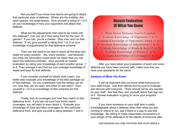Ask yourself if you know how teams are going to attack that particular style of defense. Where are the bubbles, the open spaces, the weaknesses. Give yourself a rating of 1 to 5 on your knowledge of how your opponents will attack that defense.

What are the adjustments that need to be made with this defense? Can you sit in that same front for the next 10 games? If you can, you're a master. Stop now, and run that defense. If not, give yourself a rating from 1 to 5 on your knowledge of adjustments for that defensive scheme.

Then you will need to be able to teach all the keys and reads for every position. Yes, every position. Just because you were the secondary coach does not mean that you can teach the defensive linemen. Give yourself an honest evaluation by rating your knowledge of each position group, 1 to 5. Then average it and find out your average knowledge of reads and keys for that defense.

If you consider yourself an attack style coach, you better also evaluate your knowledge of the blitz package out of that defense. Do you understand how the blitzes can be run, how they can be used, and when to use them? Give yourself a 1 to 5 on knowledge of blitz schemes for this defense.

Finally, look at coverages and how they match to that defensive front. If you are not sure how fronts match coverages, you will want to learn about it. Evaluate your knowledge of Zone and Man coverages for this particular defensive front, and give yourself a rating between 1 and 5.

### Honest Evaluation Of What You Know

1. Write Down Defenses You've Coached 2. Evaluate Knowledge of Alignment (1 to 5) Evaluate Knowledge of Opponent's Attack (1 to 5) 4. Evaluate Knowledge of Adjustments (1 to 5) 5. Evaluate Knowledge of Reads & Keys (1 to 5) 6. Evaluate Knowledge of Blitzes (1 to 5) 7. Evaluate Knowledge of Coverages (1 to 5)

After you have taken your evaluation of each and every defense you have been involved with, make sure that you have your assistants do the same.

#### **Analysis of What You Know**

It will be important that you know what everyone on your staff knows. Use their talents and be sure to evaluate and discuss with everyone. There should not be any secrets on your staff. Ask that they, and yourself, leave their ego out of it. Honest evaluation is going to move your program forward.

If you have someone on your staff who is really knowledgeable about a defense other than what you are running or intend to run, see if there is a way to use that knowledge. Be willing to make reasonable concessions in your design of the defense to fit the talents of everyone else.

Just because you may not know that much about a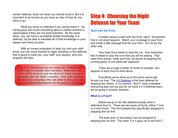certain defense, does not mean you should avoid it. But it is important to be honest so you have an idea of how far you have to go.

What you know is irrelevant if you cannot teach it. So having guys who know everything about a certain scheme is meaningless if they are not great teachers. By the same token, you can have a somewhat limited knowledge of a defense, but be able to translate all of that knowledge to your players and have success.

With an honest evaluation of what you and your staff know, you can move forward to begin deciding on the defense that is going to suite you, your staff, your players, and your program the best.

**Step 3 is a crucial step, but not a long one. It should only take a day to evaluate what you know. Make sure your entire staff is involved, and that there is a frank and open discussion after the initial evaluation. Your staff members should not be competing with each other to look good, but instead collaborating honestly for the good of your team.**

### Step 4: Choosing the Right Defense for Your Team

#### **Start with the Front**

It makes sense to start with the front, right? Sometimes that is not what happens. Match your coverage to your front, and install a blitz package that fits your front. Do not go the other way.

Your base front needs to stop the run. And remember that it needs to stop the runs that you will be seeing. That base front should, really and truly, be aimed at stopping the running game of one particular opponent.

There are a huge number of fronts to consider, and aspects of each front to think about.

Everything we've done up to this point cannot get thrown out now. The [4-3 Defense](http://www.football-defense.com/4-3-defense/) is the best defense for stopping the Option, in my opinion. But if I have evaluated everything else and we just do not have a 4-3 Defense team, we be going in another direction.

#### **What is a Front?**

Before we go to far, lets address exactly what a defensive front is. There are two types of fronts, either 7 man or 8 man fronts. The front players are specifically assigned to stopping the run first.

The back end, or secondary, are not assigned to stopping the run first. The other 3 or 4 guys not in the front 7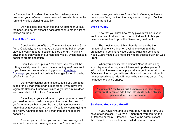or 8 are looking to defend the pass first. When you are preparing your defense, make sure you know who is in on the run and who is defending pass first.

Do not expect too much out of a run defender versus the pass, and do not expect a pass defender to make a lot of tackles on the run.

#### **7 or 8 Man Front?**

Consider the benefits of a 7 man front versus the 8 man front. Obviously, having 8 guys up close to the ball on every play puts you in a better position to stop the run. Having 7 guys means that you're in a 2 high safety look, which makes it easier to create deception.

Even if you line up in a 7 man front, you may still be rolling a safety down in the box late, creating an 8 man front. If you have read some of my blog posts on [Quarters](http://www.football-defense.com/advantages-of-quarters-coverage/) [Coverage,](http://www.football-defense.com/advantages-of-quarters-coverage/) you know that I believe it can get 9 men in the box off of a 7 man front.

Using your evaluation of players, see if you are better suited for a 7 man front or an 8 man front. If you have two legitimate Safeties, Linebacker sized guys that run like deer, you have what it takes for a 7 man front.

By looking at your evaluation of your opponents, see if you need to be focused on stopping the run or the pass. If you're in an area that throws the ball a lot, you may want to have that extra secondary player. If you know you're going to see heavy running games, an 8 man front might be more beneficial.

Also keep in mind that you can run any coverage with your front, but certain coverages match a 7 man front, and

certain coverages match an 8 man front. Coverages have to match your front, not the other way around, though. Decide on your front first.

#### **Even or Odd?**

Now that you know how many players will be in your front, you have to decide on Even or Odd front. Either you have someone head up on the Center, or you do not.

The most important thing here is going to be the number of defensive linemen available to you, and the presence of a dominant Nose Guard. Having a dominant Nose Guard makes you more likely to be successful in an Odd Front.

When you identify that dominant Nose Guard using your player evaluation, you will have an important piece of information. He needs to be physically larger than most of the Offensive Linemen you will see. He should be quick, though not necessarily fast. He will need to be strong as an ox. And he needs to play 60 snaps.

**A dominant Nose Guard will be necessary in most cases if you want to run an odd front. He should be big, strong, quick, and have a serious motor.**

#### **So You've Got a Nose Guard!**

If you have him, and you want to run an odd front, you have a few choices. If you're a 7 man front, you can run the 3- 4 Defense or the 5-2 Defense. They are the same, except that the outside linebackers are called defensive ends.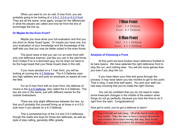When you want to run an odd, 8 man front, you are probably going to be looking at a [3-5-3, 3-3-5 or 5-3-3 front.](http://www.football-defense.com/3-5-defense/) They are all the same, once again, except for the differences in what the players are called and how far from the line of scrimmage the line up.

#### **Or Maybe Its the Even Front?**

Maybe you have done your full evaluation and find you are short on Nose Guard types. Or maybe you have one, but your evaluation of your knowledge and the knowledge of the staff tells you that you may be better suited to the even fronts.

The good news is that you can run an even front with only one defensive lineman, just like you can in the odd fronts. And it helps if he is a dominant guy, but he does not have to be the huge beast that your Nose Guard does in the odd.

If you have decided on a 7 man front, you will be looking at running the [4-3 Defense.](http://www.football-defense.com/4-3-defense-2/) The 4-3 Defense uses two high safeties and and puts an emphasis on speed all over the field.

For an 8 man front with an even front, the defense of choice is the [4-2-5 Defense,](http://www.football-defense.com/4-2-5-defense/) also called the 4-4 Defense. The two are one in the same, just with different names for the outside linebackers.

There are only slight differences between the two, so that you'll probably find yourself lining up at times in a 4-2-5 look even if you decide on a 4-3 Defense.

This is somewhat true of the 3-4 and 3-5-3 defenses, though the reads and keys for those two defenses, as well as style of play calling, generally differ greatly.



#### **Analysis of Choosing a Front**

At this point we have broken down defensive football to its bare basics. We have selected the right defensive front to stop the run, and nothing else. You will win more games than you lose if you stop the run.

If you have taken your time and gone through the process, it may have taken you two months to get to this point. That is okay, it was time well spent. You and your staff can rest easy knowing that you've made the right choices.

You can be confident that you do not need to make some knee-jerk changes in the middle of the season when things do not go perfectly, because you took the time to do it right from the start. Congratulations!

*Now get to work, you've got a defense to learn!*

**Step 4 should not take long. All of the hard work was done earlier. Take the time to have a serious discussion and consider all avenues during this step, then decide. Make sure everyone is behind the decision and move on.**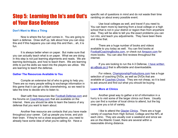# Step 5: Learning the In's and Out's of Your Base Defense

#### **Don't Want to Miss a Thing**

Now is where the fun part comes in. You are going to learn a defense. Draw stuff up, talk about how you can stop this and if this happens you can stop this and then... ah, it is fun.

It is always better when on paper. But make sure that you can actually teach what is on paper. What we are doing in this step is not just learning alignments and reads. We are learning techniques, and how to teach them. We are learning drills to put the skills we need into the players we utilize. We are learning to teach the defense.

#### **Gather The Resources Available to You**

Compile an extensive list of who is going to help you. There are so many people willing to exchange information in this game that it can get a little overwhelming, so we need to take the time to decide who to listen to.

Start with free resources like [Football-Defense.com](http://football-defense.com/) and the forums o[n CoachHuey.com](http://coachhuey.com/) that are available on the Internet. Here you should be able to learn the basics of any defense that you want to learn about.

Another free resource are contacts that you have made throughout your career. Call up people you know, and pick their brain. If they're not a close acquaintance, you need to already have some idea of what you're calling for. Have a

specific set of questions in mind and do not waste their time rambling on about every possible event.

Use local colleges as well, and travel if you need to. You can learn more by learning from a local college or a high school that is not in your district or region than from anywhere else. They will be able to tell you the exact problems you can run into, and teach you adjustments. They have been there and done that.

There are a huge number of books and videos available to you today as well. You can find books at [FootballCoachingBooks.com,](http://footballcoachingbooks.com/) or check out [Amazon.com](http://www.amazon.com/gp/redirect.html?ie=UTF8&location=http://www.amazon.com/&tag=gridironcom-20&linkCode=ur2&camp=1789&creative=390957) for more books. You can also find reviews throughout the internet.

If you are looking to run the 4-3 Defense, [I have written](http://football-defense.com/4-3-defense) [an eBook on it](http://football-defense.com/4-3-defense) that is affordable and downloadable.

For videos, [ChampionshipProductions.com](http://www.championshipproductions.com/cgi-bin/champ/index.html?mv_pc=CP00308) has a huge selection of coaching DVDs, as well as DVDs that are available at [Coaches Choice.](http://www.coacheschoice.com/) They are not cheap, so it is best to ask around and find out what you should be buying.

#### **Learn More at Clinics**

Another great way to gather a lot of information in a hurry is to visit some of the larger clinics out there. Usually you can find a number of local clinics to attend, but the big ones give you a lot of variety.

I like to attend the [Glazier Clinics.](http://glazierclinics.com/) There are a huge variety of coaches from High School, College and the NFL at each clinic. They are usually over a weekend and since we are on the Atlantic Coast, there are several within a reasonable driving distance.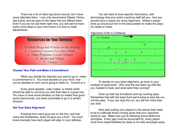There are a lot of other big clinics around, but I have never attended them. I can only recommend Glazier Clinics. Get active, and be open to the ideas that are offered there. Even if you do not use them right now, you will want to have some more ideas in your mind when it is time to make adjustments.



#### **Choose Your Path and Make a Commitment**

When you decide the direction you want to go in, make a commitment to it. You have decided on your front, now you've decided on who you're going to listen to. Commit to it.

Every good speaker, video maker, or article writer should be able to convince you that their idea is a good one. You have to have some blinders on that no matter how good some idea sounds, you have committed to go in a certain direction.

#### **Get Your Base Alignment**

Knowing how many guys are on the line, and how many are linebackers, does not give you a front. You must know precisely how each player will align in your defense.

You will want to have specific instructions, with terminology that your entire coaching staff will you. And you should have a reason for every alignment. Where a player lines up should put him in the best position to make the plays he needs to make.



#### *Alignment of the 4-3 Defense*

To decide on your base alignment, go back to your analysis of opponents. Who was the one team you felt like you needed to beat, and what were they running?

Draw up their top formations and top running plays. Remember that with the base front we're trying to stop the run, not the pass. If you can stop the run, you will win more than you lose.

Now start putting your players in the places they need to be to suffocate those running lanes that your opponent wants to use. Make sure you're following sound defensive principles. Every gap must be accounted for, every player must have responsibilities for plays to his side and plays away,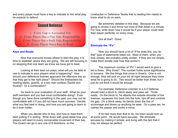and every player must have a key to indicate to him what play he expects to defend.

### Sound Defense

1. Every Gap is Accounted For 2. Every Player Has a Play Side Responsiblity 3. Every Player Has a Back Side Responsibility 4. Every Player Has a Key to Read

#### **Keys and Reads**

Now that everyone knows where to start the play, it is time to establish where they are going. We are still focusing in on stopping that one team we know we have got to beat.

Looking at their best run plays, what will you be able to use to indicate to your players what is happening? How should your defensive linemen approach the offensive line so that they get to the right place? Should the linebackers be reading backs, guards, or a two man surface (Tackle and Guard)? Or a combination?

Go back to your evaluation of your staff. What do your staff members and you feel most comfortable doing? Even though you have done something in the past, you may not be comfortable with it if you did not have much success. Decide what you feel best in doing, and how you are going to learn to do it even better.

When you decide who to key, and how to read them, start putting it in writing. Write down with great detail how your players will react to every conceivable movement of their key. The Guard can go in any one of 8 directions, so the

Linebacker or Defensive Tackle that is reading him needs to know what to do on each.

Be extremely detailed in this step. Because we are going to review it and throw out most of that detail in a minute. For now, write down how it would be if your player could read their player perfectly, on every snap.

Got all that? Good.

#### **Eliminate the "If's"**

Now you should have a lot of "If he does this, you do that" type of statements listed out. Most of them, when you look closely, are probably pretty similar. If they are not simple, make them simple (see how that works?).

The maximum number of "If's" I would want to give a kid is three. Why three? The number holds some significance to humans. We like things that come in three's. One is not enough, they will pick on your kid all night because they know what he is going to do. Two would be better than three, but I just do not think it would be enough.

For example, Defensive Linemen in a 4-3 Defense should read a block to, block away, and pass set. Three reads. On the block to, he attacks the outside shoulder of the lineman, squeezes him back into the hole, rips off and controls his gap. On a block away, he bends down the line of scrimmage and blows up anything he sees. On a pass set, he rushes the passer and works a move.

If he had more than that to do, his brain would lock up at some point. He would have excuses. We eliminate excuses by making it simple, and living with the fact that it may not always be perfect.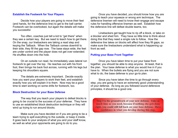#### **Establish the Footwork for Your Players**

Decide how your players are going to move their feet (and hands, for the defensive line) to get to the ball carrier. Footwork can be overlooked, but again the details will make you successful.

Too often, coaches just tell a kid to "get there" when they see a certain key. But we need to teach how to get there. On the snap, our linebackers are taking a read step and keying the Tailback. When the Tailback comes downhill to their side, they fill the gap now. The base stays wide, the feet are under control and the player does not get over extended. He shuffles down into the hole.

On an outside run read, he immediately uses lateral run footwork to get over the top. He reaches out with his front foot, then brings his back foot across, running with his legs but keeping his shoulders square.

The details are extremely important. Decide exactly how you want your players to work their feet, and establish exactly how you will explain it to them. Now may be a good time to start working on some drills for footwork, too.

#### **Block Destruction for your Base Defense**

The way that you teach your players to defeat blocks is going to be crucial to the success of your defense. They have to use an established block destruction technique or they will wind up trying to run around blocks.

Make sure you have decided on if you are going to be a team trying to spill everything to the outside, or keep it inside. It goes back to your analysis of what you and your staff know, as well as what your opponents are going to do to you.

Once you have decided, you should know how you are going to teach your squeeze or wrong arm technique. The defensive linemen will need to know their engage and escape rules for handling offensive linemen as well. Establish how the defensive line will defeat double teams, too.

Linebackers get taught how to rip off a block, or take on a blocker and shed him. They have so little time to think about doing this that they need a single rule to follow. How the defensive line takes on blocks will affect how they fill gaps, so make sure the linebackers understand what is happening up front as well.

#### **Putting your Base Front Together**

Once you have taken time to put your base front together, you should be able to stop anyone. At least, that is the plan. Your base defense is what you would live in if you have to. When the bullets are flying and you are not sure what to do, the base defense is your go-to plan.

Since you have taken the time to go through every step, you are going to have an extremely good understanding of your defense. As long as you followed sound defensive principles, it should be a good one.

**Step 5 is the groundwork of your new defense. Take as much time as you need, because if nothing else gets done right, you could still fall back on your base defense. Have confidence in what you develop during this step.**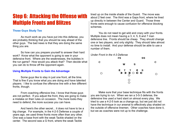# Step 6: Attacking the Offense with Multiple Fronts and Blitzes

#### **Those Guys Study Too**

As much work as you have put into this defense, you are probably thinking that you should be way ahead of the other guys. The bad news is that they are doing the same thing you are.

So how can you prepare yourself to answer their hard work? Know what the opponent is going to see in your defensive front. Where are the weaknesses, the bubbles in the run game? How would you attack that? Then decide what you can do to throw off the opponent again.

#### **Using Multiple Fronts to Gain the Advantage**

Some guys like to stay in just one front, all the time. That is fine if you know what you are doing and have talented players. I like to confuse the offensive line with a few different fronts, though.

From coaching offensive line, I know that those guys are not perfect. If you adjust the front, they are going to make a mistake on their rules on occasion. The more looks they need to defend, the more success you can have.

And here's the other secret... it does not have to be a big change. For example, in the 4-2-5 Defense a couple of years ago, we used three fronts more often than any other. One was a base front with the weak Tackle shaded on the center. The second was a G front, where the weak Tackle

lined up on the inside shade of the Guard. The move was about 2 feet over. The third was a Gaps front, where he lined up directly in between the Center and Guard. Those three fronts were enough to cause confusion for offensive blocking schemes.

You do not need to get wild and crazy with your fronts. Multiple does not mean having a 3, 4, 5, 6 and 7 man defensive line. Fronts should be cheap. They should change one or two players, and only slightly. They should take almost no time to install. And your defense should be able to use a number of them.

*Under Front in the 4-3 Defense*

|   | FS                                                                                                                               | SS |
|---|----------------------------------------------------------------------------------------------------------------------------------|----|
| с | w<br>s                                                                                                                           |    |
| ∩ | ETTES<br>$\begin{array}{ccccccccccccccccc} \bullet & \bullet & \bullet & \bullet & \bullet & \bullet & \bullet \end{array}$<br>Ο | Э  |
|   | O                                                                                                                                |    |

Make sure that your base technique fits with the fronts you are trying to run. When we ran a 3-5-3 defense, the defensive line used a hard slant on almost every play. We tried to use a 4-2-5 look as a change-up, but we just did not have the technique in our arsenal to effectively play shaded on the outside of offensive linemen. Other coaches have done it, but we as coaches were not up to the challenge.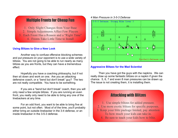### Multiple Fronts for Cheap Fun

- 1. Only Slight Changes from Your Base
- 2. Simple Adjustments Affect Few Players
- 3. Each Front Has a Reason and a "Right Time"
	- 4. Fronts Take Little Time to Install

#### **Using Blitzes to Give a New Look**

Another way to confuse offensive blocking schemes and put pressure on your opponent is to use a wide variety of blitzes. You are not going to be able to run nearly as many blitzes as you are fronts, but they can have a tremendous effect.

Hopefully you have a coaching philosophy, but if not then sit down and work on one. Are you an attacking defensive coach, or a "bend but don't break" guy? The two are not really compatible. You have to be something.

If you are a "bend but don't break" coach, then you will only need a few simple blitzes. If you are running an even front, you really only need to be able to bring any one of the linebackers at any time.

For an odd front, you want to be able to bring five at some point, but not often. Most of of the time, you'll probably either bring an outside linebacker in the 3-4 defense, or an inside linebacker in the 3-5-3 defense.

#### *4 Man Pressure in 3-5-3 Defense*



#### **Aggressive Blitzes for the Mad Scientist**

Then you have got the guys with the napkins. We can really draw up some fantastic blitzes on a napkin if given the chance. 5, 6, 7 and even 8 man pressures can be drawn up. The issue is not creating them, it is installing them.

### Attacking with Blitzes

- 1. Use simple blitzes for added pressure. 2. Use more exotic blitzes for specific purposes.
- 3. Keep your blitz package limited, pay attention To how much your kids can take in.
	- 4. Be sure to teach your kids how to blitz.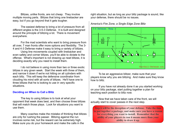Blitzes, unlike fronts, are not cheap. They involve multiple moving parts. Blitzes that bring one linebacker are easy, but if you go beyond that it gets tougher.

The easiest defense to bring a lot of pressure from all different angles is the 3-5-3 Defense. It is built and designed around the principle of blitzing a lot. There is movement everywhere.

For the mad scientists who want to bring pressure from all over, 7 man fronts offer more options and flexibility. The 3- 4 and 4-3 Defense make it easy to bring a variety of blitzes. Using line movements coupled with linebacker and

even safety and corner blitzes, you'll be able to dictate to the offense. What's important is not drawing up neat blitzes, it is deciding exactly why you need to install them.

I do not believe in using more than two or three exotic blitzes in any given week. Start the week with three of them, and narrow it down if we're not hitting on all cylinders with each blitz. This will keep the defensive coordinator from clouding his mind with all sorts of blitzes. He'll have one to three blitzes that he is looking to use in very specific situations.

#### **Deciding on When to Call a Blitz**

The key to using blitzes is to look at what your opponent that week does best, and then choose three blitzes that will match those plays. Look for situations you want to use them.

Many coaches make the mistake of thinking that blitzes are only for rushing the passer. Blitzing against the run involves some risk, but the reward can be extremely high. Make sure you do your homework and make the calls in the

right situation, but as long as your blitz package is sound, like your defense, there should be no issues.



*America's Fire Zone, a Single Edge Zone Blitz*

To be an aggressive blitzer, make sure that your players know why you are blitzing. And make sure they know how to blitz.

If you have not already done it as you started working on your blitz package, start putting together a plan for teaching each position to blitz now.

Now that we have taken care of the front, we will actually start to cover passes in the next step.

**Step 6 will be the deception of your defense. Take the time to put together a package, and make sure you have a reason for everything you want to install. Remember that the ability of your players to run it means more than your ability to draw it up.**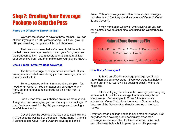# Step 7: Creating Your Coverage Package to Stop the Pass

#### **Force the Offense to Throw the Ball**

We want the offense to have to throw the ball. You can still win if you give up 300 yards passing. But if you give up 300 yards rushing, the game will be just about over.

That does not mean that we're going to let them throw the ball. Your coverage needs to match your front, because the front comes first. Use a coverage that is a natural fit for your defensive front, and then make sure your players know it.

#### **Use a Simple, Effective Base Coverage**

The base coverage needs to match your front. If you are a person who believes strongly in man coverage, you can run any front with it.

Zone coverages with an 8 man front are simple. You need to run Cover 3. You can adapt any coverage to any front, but the natural zone coverage for an 8 man front is Cover 3.

For a 7 man front, your choices are much more varied. Along with man coverages, you can use any zone package. 7 man fronts are great for disguising coverages and running a lot of different looks.

Cover 2 was the coverage that was once used with the 4-3 Defense as well as 5-2 Defenses. Today, many 4-3 and 3- 4 Defenses use Cover 4 and Quarters coverages behind

them. Robber coverages and other more exotic coverages can also be run (but they are all variations of Cover 2, Cover 3, and Cover 4).

7 man fronts also work well with Cover 3, as you can roll a safety down to either side, confusing the Quarterback's reads.

### Natural Zone Coverage Fits

7 Man Fronts: Cover 2, Cover 4, Roll Cover 3 8 Man Fronts: Cover 3

*Man Coverage (Cover 1, Cover 0) fits with any front!*

#### **How Many Coverages?**

To have an effective coverage package, you'll need more than one zone coverage. Every coverage has holes in it, and part of your work will be deciding exactly where the holes are.

After identifying the holes in the coverage you are going to base out of, look for a coverage that takes away those weaknesses. For example, in Cover 3 the seams are vulnerable. Cover 2 will close the seam to Quarterbacks, because of the Safety sitting directly over top of the hash routes.

Every coverage package needs to have man coverages. Not only does man coverage, and particularly press man coverage, create frustration for the Quarterback if run well, and offer fewer holes, but it opens up your blitz package.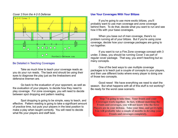#### *Cover 3 from the 4-2-5 Defense*



#### Be Detailed in Teaching Coverages

Take as much time to teach your coverage reads as you do your run reads. The back end should be using their eyes to diagnose the play just as the linebackers and defensive linemen are.

Go back to the evaluation of your opponent, as well as the evaluation of your players, to decide how they need to play coverage. For zone coverages, you will need to decide between spot dropping and pattern reading.

Spot dropping is going to be simple, easy to teach, and effective. Pattern reading is going to take a significant amount of practice time, but puts your players in the best position to make a play when taught correctly. You will need to decide what fits your players and staff best.

#### **Use Your Coverages With Your Blitzes**

If you're going to use more exotic blitzes, you'll probably want to use man coverage and zone coverage behind them. To do that, decide what you want to run and see how it fits with your base coverages.

When you base out of man coverage, there's no problem running all of your blitzes. But if you're using zone coverage, decide how your coverage packages are going to run together.

If you want to run a Fire Zone coverage concept with 3 under, 3 deep, you should be running Cover 3 as part of regular cover package. That way, you aren't teaching but so many concepts.

One of the best ways to use multiple coverage packages is to teach just a couple of concepts to your players, and then use different looks where every player is doing one of those two concepts.

Good news! We have everything we need to start the season. But what happens with all of this stuff is not working? Be ready for the worst case scenario.

**Step 7 is going to take time. Your fronts and your Coverages work together. In fact, without matching the Fronts and coverages, you will not know who the force Players are in your defense. Take your time, and get it right. You will probably take a couple of months to develop your Fronts and coverages completely.**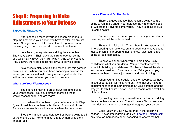# Step 8: Preparing to Make Adjustments to Your Defense

#### **Expect the Unexpected**

After spending most of your off season preparing to stop the best plays your opponents have to offer, we are not done. Now you need to take some time to figure out what they're going to do when you stop them in their tracks.

Let's face it, every offense is doing the same thing. They have a plan. Their plays are strung together so that if you take Play X away, they'll run Play Y. And when you take Play Y away, they'll be expecting Play Z to be wide open.

Its a chess match, and it is the reason that this game is so much fun. When you have been coaching a defense for years, you can almost instinctively make adjustments. But with a brand new defense, you need to prepare.

#### **Where are Your Weaknesses?**

The offense is going to break down film and look for your weaknesses. You have already identified those weaknesses though, and are ready.

Know where the bubbles in your defense are. In Step 6, we closed those bubbles with different fronts and blitzes. Be ready to make those adjustments when the time comes.

Stop them in your base defense first, before going to all of the change-ups. For one thing, that is what makes them change-ups.

#### **Have a Plan, and Do Not Panic!**

There is a good chance that, at some point, you are going to run into a snag. Your defense, no matter how good it is, will probably give up some yards. They are going to give up some points.

And at some point, when you are running a brand new defense, you will be out-coached.

Thats right. Take it in. Think about it. You spent all this time preparing your defense, but the good teams have spent just as much time preparing their offense. Most teams are going to lose, sometime.

So have a plan for when you hit hard times. Stay confident in what you are doing. You put months worth of work into building your defense. You have followed the steps and done a great job. Stay the course. Take your lumps, learn from them, make adjustments, and keep fighting.

When you run into trouble, use the resources we have talked about to ask for help. And any time that you make an adjustment or change something about your defense and the way you teach it, write it down. Keep a record of the evolution of the defense.

By keeping records, you avoid back tracking and doing the same things over again. You will have a file on how you have defended various challenges throughout your career.

Good luck with your new defense in the upcoming season! Never stop learning, and visit [Football-Defense.com](http://football-defense.com/) any time for more ideas about coaching defensive football!